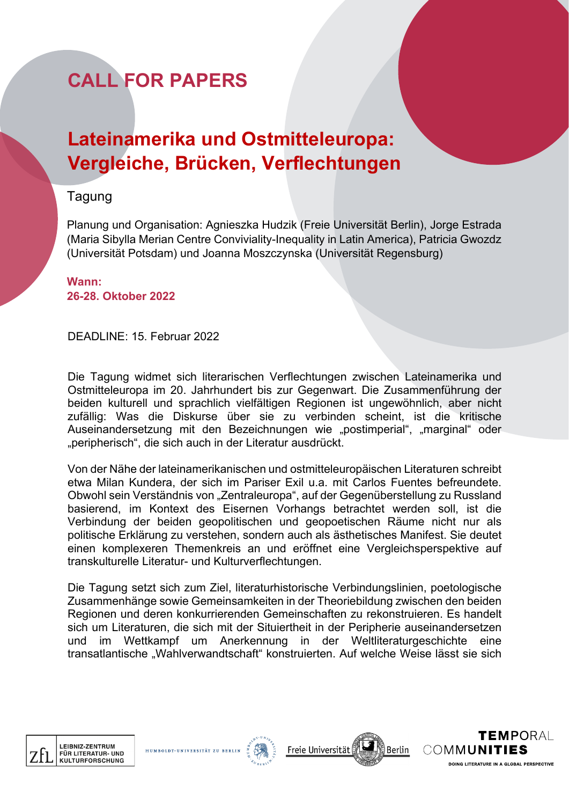# **CALL FOR PAPERS**

# **Lateinamerika und Ostmitteleuropa: Vergleiche, Brücken, Verflechtungen**

### Tagung

Planung und Organisation: Agnieszka Hudzik (Freie Universität Berlin), Jorge Estrada (Maria Sibylla Merian Centre Conviviality-Inequality in Latin America), Patricia Gwozdz (Universität Potsdam) und Joanna Moszczynska (Universität Regensburg)

**Wann: 26-28. Oktober 2022**

DEADLINE: 15. Februar 2022

Die Tagung widmet sich literarischen Verflechtungen zwischen Lateinamerika und Ostmitteleuropa im 20. Jahrhundert bis zur Gegenwart. Die Zusammenführung der beiden kulturell und sprachlich vielfältigen Regionen ist ungewöhnlich, aber nicht zufällig: Was die Diskurse über sie zu verbinden scheint, ist die kritische Auseinandersetzung mit den Bezeichnungen wie "postimperial", "marginal" oder "peripherisch", die sich auch in der Literatur ausdrückt.

Von der Nähe der lateinamerikanischen und ostmitteleuropäischen Literaturen schreibt etwa Milan Kundera, der sich im Pariser Exil u.a. mit Carlos Fuentes befreundete. Obwohl sein Verständnis von "Zentraleuropa", auf der Gegenüberstellung zu Russland basierend, im Kontext des Eisernen Vorhangs betrachtet werden soll, ist die Verbindung der beiden geopolitischen und geopoetischen Räume nicht nur als politische Erklärung zu verstehen, sondern auch als ästhetisches Manifest. Sie deutet einen komplexeren Themenkreis an und eröffnet eine Vergleichsperspektive auf transkulturelle Literatur- und Kulturverflechtungen.

Die Tagung setzt sich zum Ziel, literaturhistorische Verbindungslinien, poetologische Zusammenhänge sowie Gemeinsamkeiten in der Theoriebildung zwischen den beiden Regionen und deren konkurrierenden Gemeinschaften zu rekonstruieren. Es handelt sich um Literaturen, die sich mit der Situiertheit in der Peripherie auseinandersetzen und im Wettkampf um Anerkennung in der Weltliteraturgeschichte eine transatlantische "Wahlverwandtschaft" konstruierten. Auf welche Weise lässt sie sich



HUMBOLDT-UNI





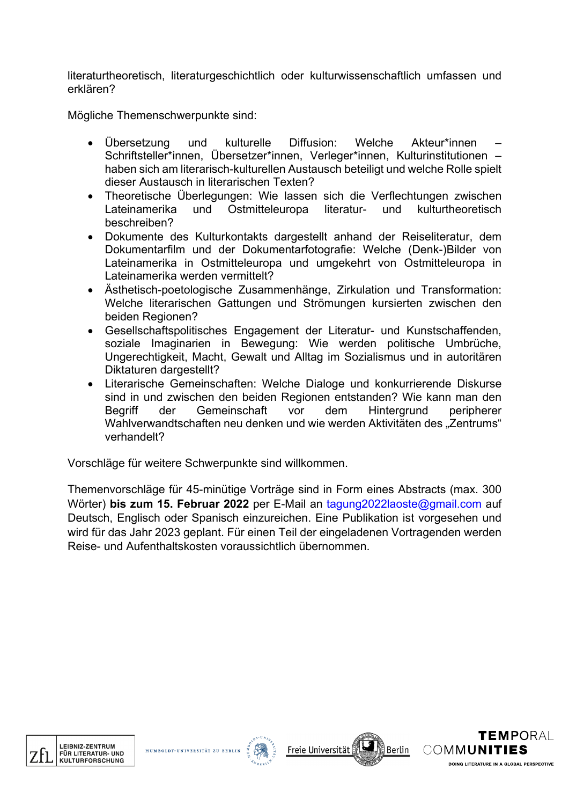literaturtheoretisch, literaturgeschichtlich oder kulturwissenschaftlich umfassen und erklären?

Mögliche Themenschwerpunkte sind:

- Übersetzung und kulturelle Diffusion: Welche Akteur\*innen Schriftsteller\*innen, Übersetzer\*innen, Verleger\*innen, Kulturinstitutionen – haben sich am literarisch-kulturellen Austausch beteiligt und welche Rolle spielt dieser Austausch in literarischen Texten?
- Theoretische Überlegungen: Wie lassen sich die Verflechtungen zwischen Lateinamerika und Ostmitteleuropa literatur- und kulturtheoretisch beschreiben?
- Dokumente des Kulturkontakts dargestellt anhand der Reiseliteratur, dem Dokumentarfilm und der Dokumentarfotografie: Welche (Denk-)Bilder von Lateinamerika in Ostmitteleuropa und umgekehrt von Ostmitteleuropa in Lateinamerika werden vermittelt?
- Ästhetisch-poetologische Zusammenhänge, Zirkulation und Transformation: Welche literarischen Gattungen und Strömungen kursierten zwischen den beiden Regionen?
- Gesellschaftspolitisches Engagement der Literatur- und Kunstschaffenden, soziale Imaginarien in Bewegung: Wie werden politische Umbrüche, Ungerechtigkeit, Macht, Gewalt und Alltag im Sozialismus und in autoritären Diktaturen dargestellt?
- Literarische Gemeinschaften: Welche Dialoge und konkurrierende Diskurse sind in und zwischen den beiden Regionen entstanden? Wie kann man den Begriff der Gemeinschaft vor dem Hintergrund peripherer Wahlverwandtschaften neu denken und wie werden Aktivitäten des "Zentrums" verhandelt?

Vorschläge für weitere Schwerpunkte sind willkommen.

Themenvorschläge für 45-minütige Vorträge sind in Form eines Abstracts (max. 300 Wörter) **bis zum 15. Februar 2022** per E-Mail an tagung2022laoste@gmail.com auf Deutsch, Englisch oder Spanisch einzureichen. Eine Publikation ist vorgesehen und wird für das Jahr 2023 geplant. Für einen Teil der eingeladenen Vortragenden werden Reise- und Aufenthaltskosten voraussichtlich übernommen.



HUMBOLDT-UNI





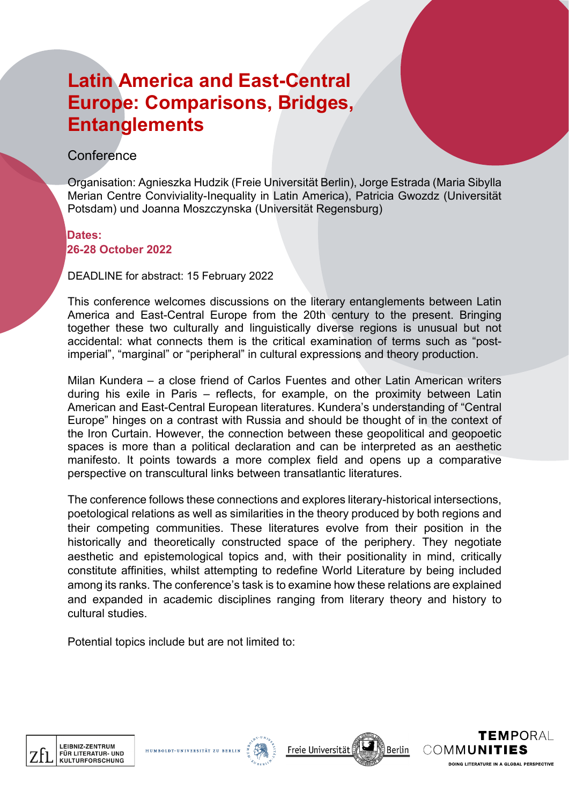# **Latin America and East-Central Europe: Comparisons, Bridges, Entanglements**

#### **Conference**

Organisation: Agnieszka Hudzik (Freie Universität Berlin), Jorge Estrada (Maria Sibylla Merian Centre Conviviality-Inequality in Latin America), Patricia Gwozdz (Universität Potsdam) und Joanna Moszczynska (Universität Regensburg)

#### **Dates: 26-28 October 2022**

DEADLINE for abstract: 15 February 2022

This conference welcomes discussions on the literary entanglements between Latin America and East-Central Europe from the 20th century to the present. Bringing together these two culturally and linguistically diverse regions is unusual but not accidental: what connects them is the critical examination of terms such as "postimperial", "marginal" or "peripheral" in cultural expressions and theory production.

Milan Kundera – a close friend of Carlos Fuentes and other Latin American writers during his exile in Paris – reflects, for example, on the proximity between Latin American and East-Central European literatures. Kundera's understanding of "Central Europe" hinges on a contrast with Russia and should be thought of in the context of the Iron Curtain. However, the connection between these geopolitical and geopoetic spaces is more than a political declaration and can be interpreted as an aesthetic manifesto. It points towards a more complex field and opens up a comparative perspective on transcultural links between transatlantic literatures.

The conference follows these connections and explores literary-historical intersections, poetological relations as well as similarities in the theory produced by both regions and their competing communities. These literatures evolve from their position in the historically and theoretically constructed space of the periphery. They negotiate aesthetic and epistemological topics and, with their positionality in mind, critically constitute affinities, whilst attempting to redefine World Literature by being included among its ranks. The conference's task is to examine how these relations are explained and expanded in academic disciplines ranging from literary theory and history to cultural studies.

Potential topics include but are not limited to:

HUMBOLDT-UNIVE







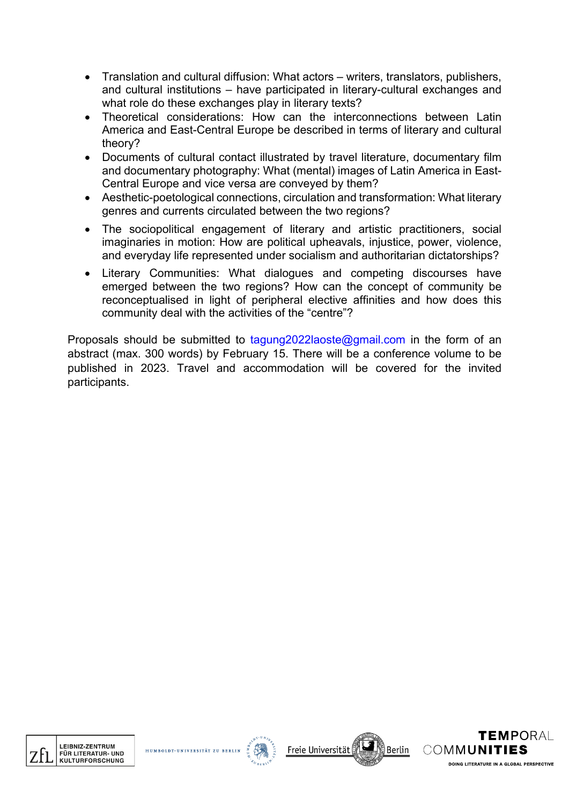- Translation and cultural diffusion: What actors writers, translators, publishers, and cultural institutions – have participated in literary-cultural exchanges and what role do these exchanges play in literary texts?
- Theoretical considerations: How can the interconnections between Latin America and East-Central Europe be described in terms of literary and cultural theory?
- Documents of cultural contact illustrated by travel literature, documentary film and documentary photography: What (mental) images of Latin America in East-Central Europe and vice versa are conveyed by them?
- Aesthetic-poetological connections, circulation and transformation: What literary genres and currents circulated between the two regions?
- The sociopolitical engagement of literary and artistic practitioners, social imaginaries in motion: How are political upheavals, injustice, power, violence, and everyday life represented under socialism and authoritarian dictatorships?
- Literary Communities: What dialogues and competing discourses have emerged between the two regions? How can the concept of community be reconceptualised in light of peripheral elective affinities and how does this community deal with the activities of the "centre"?

Proposals should be submitted to tagung2022laoste@gmail.com in the form of an abstract (max. 300 words) by February 15. There will be a conference volume to be published in 2023. Travel and accommodation will be covered for the invited participants.



HUMBOLDT





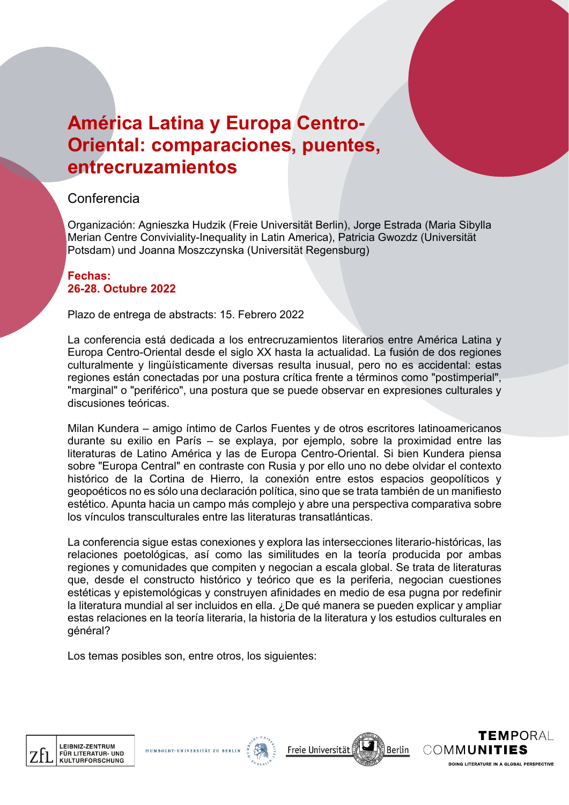### **América Latina y Europa Centro-Oriental: comparaciones, puentes, entrecruzamientos**

### Conferencia

Organización: Agnieszka Hudzik (Freie Universität Berlin), Jorge Estrada (Maria Sibylla Merian Centre Conviviality-Inequality in Latin America), Patricia Gwozdz (Universität Potsdam) und Joanna Moszczynska (Universität Regensburg)

#### **Fechas: 26-28. Octubre 2022**

Plazo de entrega de abstracts: 15. Febrero 2022

La conferencia está dedicada a los entrecruzamientos literarios entre América Latina y Europa Centro-Oriental desde el siglo XX hasta la actualidad. La fusión de dos regiones culturalmente y lingüísticamente diversas resulta inusual, pero no es accidental: estas regiones están conectadas por una postura crítica frente a términos como "postimperial", "marginal" o "periférico", una postura que se puede observar en expresiones culturales y discusiones teóricas.

Milan Kundera – amigo íntimo de Carlos Fuentes y de otros escritores latinoamericanos durante su exilio en París – se explaya, por ejemplo, sobre la proximidad entre las literaturas de Latino América y las de Europa Centro-Oriental. Si bien Kundera piensa sobre "Europa Central" en contraste con Rusia y por ello uno no debe olvidar el contexto histórico de la Cortina de Hierro, la conexión entre estos espacios geopolíticos y geopoéticos no es sólo una declaración política, sino que se trata también de un manifiesto estético. Apunta hacia un campo más complejo y abre una perspectiva comparativa sobre los vínculos transculturales entre las literaturas transatlánticas.

La conferencia sigue estas conexiones y explora las intersecciones literario-históricas, las relaciones poetológicas, así como las similitudes en la teoría producida por ambas regiones y comunidades que compiten y negocian a escala global. Se trata de literaturas que, desde el constructo histórico y teórico que es la periferia, negocian cuestiones estéticas y epistemológicas y construyen afinidades en medio de esa pugna por redefinir la literatura mundial al ser incluidos en ella. ¿De qué manera se pueden explicar y ampliar estas relaciones en la teoría literaria, la historia de la literatura y los estudios culturales en général?

Los temas posibles son, entre otros, los siguientes:

HUMBOLDT-UN